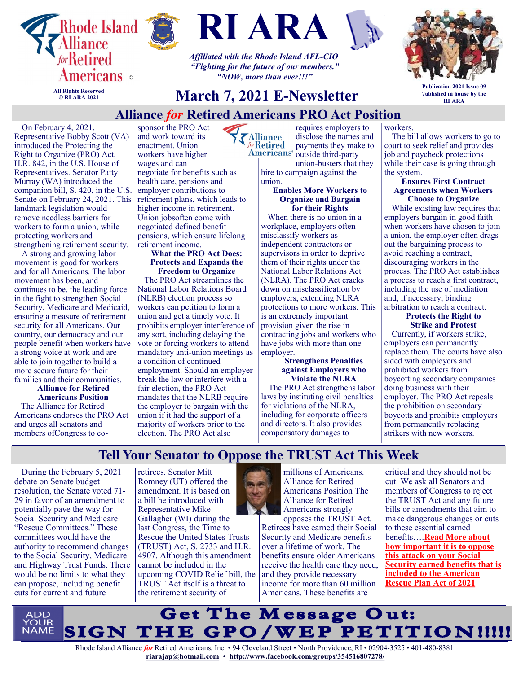

**All Rights Reserved © RI ARA 2021**





*Affiliated with the Rhode Island AFL-CIO "Fighting for the future of our members." "NOW, more than ever!!!"*



**7ublished in house by the RI ARA**

# **March 7, 2021 E-Newsletter**

### **Alliance** *for* **Retire[d Americans](https://retiredamericans.org/) PRO Act Position**

On February 4, 2021, Representative Bobby Scott (VA) introduced the Protecting the Right to Organize (PRO) Act, H.R. 842, in the U.S. House of Representatives. Senator Patty Murray (WA) introduced the companion bill, S. 420, in the U.S. Senate on February 24, 2021. This landmark legislation would remove needless barriers for workers to form a union, while protecting workers and strengthening retirement security.

A strong and growing labor movement is good for workers and for all Americans. The labor movement has been, and continues to be, the leading force in the fight to strengthen Social Security, Medicare and Medicaid, ensuring a measure of retirement security for all Americans. Our country, our democracy and our people benefit when workers have a strong voice at work and are able to join together to build a more secure future for their families and their communities.

### **Alliance for Retired Americans Position**

The Alliance for Retired Americans endorses the PRO Act and urges all senators and members ofCongress to co-

and work toward its enactment. Union workers have higher wages and can negotiate for benefits such as health care, pensions and employer contributions to retirement plans, which leads to higher income in retirement. Union jobsoften come with negotiated defined benefit pensions, which ensure lifelong retirement income.

sponsor the PRO Act

#### **What the PRO Act Does: Protects and Expands the Freedom to Organize**

The PRO Act streamlines the National Labor Relations Board (NLRB) election process so workers can petition to form a union and get a timely vote. It prohibits employer interference of any sort, including delaying the vote or forcing workers to attend mandatory anti-union meetings as a condition of continued employment. Should an employer break the law or interfere with a fair election, the PRO Act mandates that the NLRB require the employer to bargain with the union if it had the support of a majority of workers prior to the election. The PRO Act also

requires employers to **Alliance** disclose the names and for ${\rm Retired}$ payments they make to Americans<sup>®</sup> outside third-party union-busters that they

hire to campaign against the union.

#### **Enables More Workers to Organize and Bargain for their Rights**

When there is no union in a workplace, employers often misclassify workers as independent contractors or supervisors in order to deprive them of their rights under the National Labor Relations Act (NLRA). The PRO Act cracks down on misclassification by employers, extending NLRA protections to more workers. This is an extremely important provision given the rise in contracting jobs and workers who have jobs with more than one employer.

#### **Strengthens Penalties against Employers who Violate the NLRA**

The PRO Act strengthens labor laws by instituting civil penalties for violations of the NLRA, including for corporate officers and directors. It also provides compensatory damages to

workers.

The bill allows workers to go to court to seek relief and provides job and paycheck protections while their case is going through the system.

#### **Ensures First Contract Agreements when Workers Choose to Organize**

While existing law requires that employers bargain in good faith when workers have chosen to join a union, the employer often drags out the bargaining process to avoid reaching a contract, discouraging workers in the process. The PRO Act establishes a process to reach a first contract, including the use of mediation and, if necessary, binding arbitration to reach a contract.

#### **Protects the Right to Strike and Protest**

Currently, if workers strike, employers can permanently replace them. The courts have also sided with employers and prohibited workers from boycotting secondary companies doing business with their employer. The PRO Act repeals the prohibition on secondary boycotts and prohibits employers from permanently replacing strikers with new workers.

# **Tell Your Senator to Oppose the TRUST Act This Week**

During the February 5, 2021 debate on Senate budget resolution, the Senate voted 71- 29 in favor of an amendment to potentially pave the way for Social Security and Medicare "Rescue Committees." These committees would have the authority to recommend changes to the Social Security, Medicare and Highway Trust Funds. There would be no limits to what they can propose, including benefit cuts for current and future

retirees. Senator Mitt Romney (UT) offered the amendment. It is based on a bill he introduced with Representative Mike Gallagher (WI) during the last Congress, the Time to Rescue the United States Trusts (TRUST) Act, S. 2733 and H.R. 4907. Although this amendment cannot be included in the upcoming COVID Relief bill, the TRUST Act itself is a threat to the retirement security of



millions of Americans. Alliance for Retired Americans Position The Alliance for Retired Americans strongly

opposes the TRUST Act. Retirees have earned their Social Security and Medicare benefits over a lifetime of work. The benefits ensure older Americans receive the health care they need, and they provide necessary income for more than 60 million Americans. These benefits are

critical and they should not be cut. We ask all Senators and members of Congress to reject the TRUST Act and any future bills or amendments that aim to make dangerous changes or cuts to these essential earned benefits….**[Read More about](https://retiredamericans.org/wp-content/uploads/2021/02/TRUST-Act-Position-Paper-2021-one-column.pdf)  [how important it is to oppose](https://retiredamericans.org/wp-content/uploads/2021/02/TRUST-Act-Position-Paper-2021-one-column.pdf)  [this attack on your Social](https://retiredamericans.org/wp-content/uploads/2021/02/TRUST-Act-Position-Paper-2021-one-column.pdf)  [Security earned benefits](https://retiredamericans.org/wp-content/uploads/2021/02/TRUST-Act-Position-Paper-2021-one-column.pdf) that is [included to the American](https://retiredamericans.org/wp-content/uploads/2021/02/TRUST-Act-Position-Paper-2021-one-column.pdf)  [Rescue Plan Act of 2021](https://retiredamericans.org/wp-content/uploads/2021/02/TRUST-Act-Position-Paper-2021-one-column.pdf)**

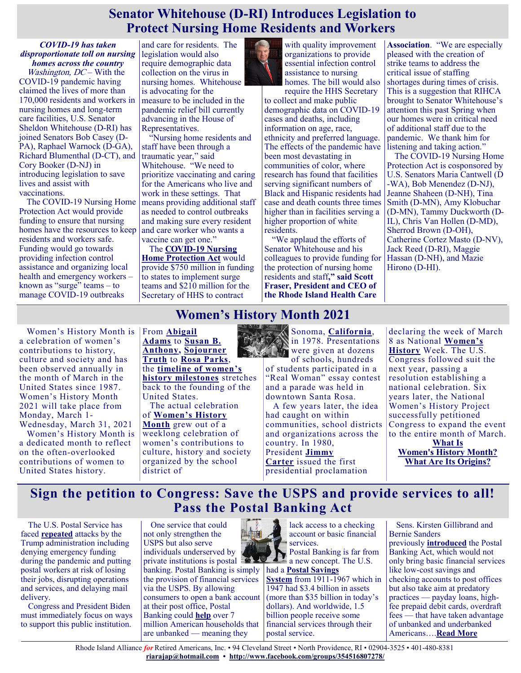# **Senator Whitehouse (D-RI) Introduces Legislation to Protect Nursing Home Residents and Workers**

*COVID-19 has taken disproportionate toll on nursing homes across the country*

Washington, DC – With the COVID-19 pandemic having claimed the lives of more than 170,000 residents and workers in nursing homes and long-term care facilities, U.S. Senator Sheldon Whitehouse (D-RI) has joined Senators Bob Casey (D-PA), Raphael Warnock (D-GA), Richard Blumenthal (D-CT), and Cory Booker (D-NJ) in introducing legislation to save lives and assist with vaccinations.

The COVID-19 Nursing Home Protection Act would provide funding to ensure that nursing homes have the resources to keep and care worker who wants a residents and workers safe. Funding would go towards providing infection control assistance and organizing local health and emergency workers – known as "surge" teams – to manage COVID-19 outbreaks

and care for residents. The legislation would also require demographic data collection on the virus in nursing homes. Whitehouse is advocating for the measure to be included in the pandemic relief bill currently advancing in the House of Representatives.

"Nursing home residents and staff have been through a traumatic year," said Whitehouse. "We need to prioritize vaccinating and caring for the Americans who live and work in these settings. That means providing additional staff as needed to control outbreaks and making sure every resident vaccine can get one."

The **COVID-[19 Nursing](https://www.aging.senate.gov/download/covid-19-nursing-home-protection-act-one-pager)  [Home Protection Act](https://www.aging.senate.gov/download/covid-19-nursing-home-protection-act-one-pager)** would provide \$750 million in funding to states to implement surge teams and \$210 million for the Secretary of HHS to contract

with quality improvement organizations to provide essential infection control assistance to nursing homes. The bill would also

require the HHS Secretary to collect and make public demographic data on COVID-19 cases and deaths, including information on age, race, ethnicity and preferred language. The effects of the pandemic have been most devastating in communities of color, where research has found that facilities serving significant numbers of Black and Hispanic residents had case and death counts three times higher than in facilities serving a higher proportion of white residents.

"We applaud the efforts of Senator Whitehouse and his colleagues to provide funding for the protection of nursing home residents and staff**," said Scott Fraser, President and CEO of the Rhode Island Health Care** 

**Association**. "We are especially pleased with the creation of strike teams to address the critical issue of staffing shortages during times of crisis. This is a suggestion that RIHCA brought to Senator Whitehouse's attention this past Spring when our homes were in critical need of additional staff due to the pandemic. We thank him for listening and taking action."

The COVID-19 Nursing Home Protection Act is cosponsored by U.S. Senators Maria Cantwell (D -WA), Bob Menendez (D-NJ), Jeanne Shaheen (D-NH), Tina Smith (D-MN), Amy Klobuchar (D-MN), Tammy Duckworth (D-IL), Chris Van Hollen (D-MD), Sherrod Brown (D-OH), Catherine Cortez Masto (D-NV), Jack Reed (D-RI), Maggie Hassan (D-NH), and Mazie Hirono (D-HI).

**Women's History Month 2021**

Women's History Month is a celebration of women's contributions to history, culture and society and has been observed annually in the month of March in the United States since 1987. Women's History Month 2021 will take place from Monday, March 1- Wednesday, March 31, 2021

Women's History Month is a dedicated month to reflect on the often-overlooked contributions of women to United States history.

From **[Abigail](https://www.history.com/topics/first-ladies/abigail-adams)  [Adams](https://www.history.com/topics/first-ladies/abigail-adams)** to **[Susan B.](https://www.history.com/topics/womens-history/susan-b-anthony)  [Anthony,](https://www.history.com/topics/womens-history/susan-b-anthony) [Sojourner](https://www.history.com/topics/black-history/sojourner-truth)  [Truth](https://www.history.com/topics/black-history/sojourner-truth)** to **[Rosa Parks](http://history.com/topics/black-history/rosa-parks)**, the **[timeline of women's](https://www.history.com/topics/womens-history/womens-history-us-timeline)  [history milestones](https://www.history.com/topics/womens-history/womens-history-us-timeline)** stretches back to the founding of the United States.

The actual celebration of **[Women's History](https://womenshistorymonth.gov/)  [Month](https://womenshistorymonth.gov/)** grew out of a weeklong celebration of women's contributions to culture, history and society organized by the school district of

Sonoma, **[California](https://www.history.com/topics/us-states/california)**, in 1978. Presentations were given at dozens of schools, hundreds

of students participated in a "Real Woman" essay contest and a parade was held in downtown Santa Rosa.

A few years later, the idea had caught on within communities, school districts and organizations across the country. In 1980, President **[Jimmy](https://www.history.com/topics/us-presidents/jimmy-carter)** 

**[Carter](https://www.history.com/topics/us-presidents/jimmy-carter)** issued the first presidential proclamation declaring the week of March 8 as National **[Women's](https://www.history.com/topics/womens-history)  [History](https://www.history.com/topics/womens-history)** Week. The U.S. Congress followed suit the next year, passing a resolution establishing a national celebration. Six years later, the National Women's History Project successfully petitioned Congress to expand the event to the entire month of March. **[What Is](https://www.msn.com/en-us/news/other/what-is-womens-history-month-and-what-are-its-origins/ar-BB1e7H5X?ocid=uxbndlbing)**

**[Women's History Month?](https://www.msn.com/en-us/news/other/what-is-womens-history-month-and-what-are-its-origins/ar-BB1e7H5X?ocid=uxbndlbing)  [What Are Its Origins?](https://www.msn.com/en-us/news/other/what-is-womens-history-month-and-what-are-its-origins/ar-BB1e7H5X?ocid=uxbndlbing)**

**Sign the petition to Congress: Save the USPS and provide services to all! Pass the Postal Banking Act**

The U.S. Postal Service has faced **[repeated](https://www.dailykos.com/stories/2020/8/15/1969521/-The-Post-Office-is-the-closest-thing-America-has-to-a-sacred-institution-and-Trump-attacked-it)** attacks by the Trump administration including denying emergency funding during the pandemic and putting postal workers at risk of losing their jobs, disrupting operations and services, and delaying mail delivery.

Congress and President Biden must immediately focus on ways to support this public institution.

One service that could not only strengthen the USPS but also serve individuals underserved by private institutions is postal banking. Postal Banking is simply the provision of financial services via the USPS. By allowing consumers to open a bank account at their post office, Postal Banking could **[help](https://economicinclusion.gov/surveys/2019household/)** over 7 million American households that are unbanked — meaning they



Postal Banking is far from a new concept. The U.S.

had a **[Postal Savings](http://www.campaignforpostalbanking.org/know-the-facts/)  [System](http://www.campaignforpostalbanking.org/know-the-facts/)** from 1911-1967 which in 1947 had \$3.4 billion in assets (more than \$35 billion in today's dollars). And worldwide, 1.5 billion people receive some financial services through their postal service.

Sens. Kirsten Gillibrand and Bernie Sanders previously **[introduced](https://www.vox.com/recode/22243799/post-office-delays-postal-banking-usps-reform)** the Postal Banking Act, which would not only bring basic financial services like low-cost savings and checking accounts to post offices but also take aim at predatory practices — payday loans, highfee prepaid debit cards, overdraft fees — that have taken advantage of unbanked and underbanked Americans….**[Read More](https://actionnetwork.org/forms/sign-the-petition-to-congress-save-the-usps-and-provide-services-to-all-pass-the-postal-banking-act-2?source=2021PostalBankingAct_ARA&referrer=group-ara-main-e-activist-group&redirect=https%3A%2F%2Fsecure.actblue.com%2Fdonat)**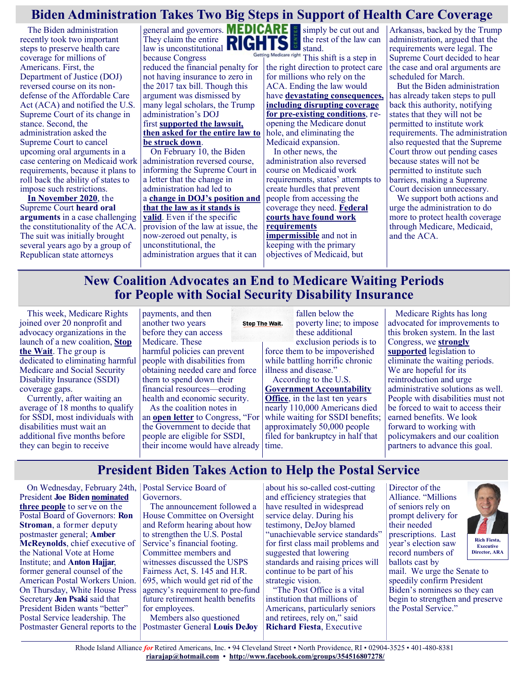# **Biden Administration Takes Two Big Steps in Support of Health Care Coverage**

The Biden administration recently took two important steps to preserve health care coverage for millions of Americans. First, the Department of Justice (DOJ) reversed course on its nondefense of the Affordable Care Act (ACA) and notified the U.S. Supreme Court of its change in stance. Second, the administration asked the Supreme Court to cancel upcoming oral arguments in a case centering on Medicaid work requirements, because it plans to roll back the ability of states to impose such restrictions.

**[In November 2020](https://www.medicarerights.org/medicare-watch/2020/11/12/health-care-for-millions-in-supreme-courts-hands)**, the Supreme Court **[heard oral](https://www.msn.com/en-us/news/politics/5-key-moments-from-the-latest-scotus-obamacare-showdown/ar-BB1aT965)  [arguments](https://www.msn.com/en-us/news/politics/5-key-moments-from-the-latest-scotus-obamacare-showdown/ar-BB1aT965)** in a case challenging the constitutionality of the ACA. The suit was initially brought several years ago by a group of Republican state attorneys

general and governors. They claim the entire law is unconstitutional because Congress reduced the financial penalty for not having insurance to zero in the 2017 tax bill. Though this argument was dismissed by many legal scholars, the Trump administration's DOJ first **[supported the lawsuit,](https://www.medicarerights.org/medicare-watch/2018/06/14/blog-surprise-administrative-decision-puts-millions-risk-losing-health-coverage) then [asked for the entire law to](https://www.medicarerights.org/medicare-watch/2019/03/28/blog-department-of-justice-states-support-for-total-invalidation-of-the-affordable-care-act)  [be struck down](https://www.medicarerights.org/medicare-watch/2019/03/28/blog-department-of-justice-states-support-for-total-invalidation-of-the-affordable-care-act)**.

On February 10, the Biden administration reversed course, informing the Supreme Court in a [letter](https://www.scotusblog.com/wp-content/uploads/2021/02/No.-19-840-US-Letter.pdf) that the change in administration had led to a **[change in DOJ's position and](https://www.jurist.org/news/2021/02/biden-administration-asks-supreme-court-to-uphold-aca/)  [that the law as it stands is](https://www.jurist.org/news/2021/02/biden-administration-asks-supreme-court-to-uphold-aca/)  [valid](https://www.jurist.org/news/2021/02/biden-administration-asks-supreme-court-to-uphold-aca/)**. Even if the specific provision of the law at issue, the now-zeroed out penalty, is unconstitutional, the administration argues that it can

simply be cut out and the rest of the law can stand.

Getting Medicare right This shift is a step in the right direction to protect care for millions who rely on the ACA. Ending the law would have **[devastating consequences,](https://www.medicarerights.org/policy-documents/whats-at-stake-in-the-affordable-care-act-a-voter-guide) including [disrupting coverage](https://www.kff.org/health-reform/issue-brief/pre-existing-condition-prevalence-for-individuals-and-families/)  for pre-[existing conditions](https://www.kff.org/health-reform/issue-brief/pre-existing-condition-prevalence-for-individuals-and-families/)**, reopening the Medicare donut hole, and eliminating the Medicaid expansion. In other news, the administration also reversed [course](https://www.msn.com/en-us/news/politics/biden-administration-asks-u-s-supreme-court-to-dump-medicaid-work-case/ar-BB1dV2Tb) on Medicaid work requirements, states' attempts to create hurdles that prevent people from accessing the coverage they need. **[Federal](https://www.medicarerights.org/medicare-watch/2020/02/20/blog-federal-appeals-court-rules-against-medicaid-work-requirements-in-arkansas)  [courts have found work](https://www.medicarerights.org/medicare-watch/2020/02/20/blog-federal-appeals-court-rules-against-medicaid-work-requirements-in-arkansas)  [requirements](https://www.medicarerights.org/medicare-watch/2020/02/20/blog-federal-appeals-court-rules-against-medicaid-work-requirements-in-arkansas)  [impermissible](https://www.medicarerights.org/medicare-watch/2020/02/20/blog-federal-appeals-court-rules-against-medicaid-work-requirements-in-arkansas)** and not in keeping with the primary objectives of Medicaid, but

Arkansas, backed by the Trump administration, argued that the requirements were legal. The Supreme Court decided to hear the case and oral arguments are scheduled for March.

But the Biden administration has already taken steps to pull back this authority, notifying states that they will not be permitted to institute work requirements. The administration also requested that the Supreme Court throw out pending cases because states will not be permitted to institute such barriers, making a Supreme Court decision unnecessary.

We support both actions and urge the administration to do more to protect health coverage through Medicare, Medicaid, and the ACA.

# **New Coalition Advocates an End to Medicare Waiting Periods for People with Social Security Disability Insurance**

This week, Medicare Rights joined over 20 nonprofit and advocacy organizations in the launch of a new coalition, **[Stop](https://www.stopthewaitnow.org/)  [the Wait](https://www.stopthewaitnow.org/)**. The group is dedicated to eliminating harmful Medicare and Social Security Disability Insurance (SSDI) coverage gaps.

Currently, after waiting an average of 18 months to qualify for SSDI, most individuals with disabilities must wait an additional five months before they can begin to receive

payments, and then another two years **Stop The Wait.** before they can access Medicare. These harmful policies can prevent people with disabilities from obtaining needed care and force them to spend down their financial resources—eroding health and economic security.

As the coalition notes in an **[open letter](https://www.stopthewaitnow.org/)** to Congress, "For the Government to decide that people are eligible for SSDI, their income would have already

fallen below the poverty line; to impose these additional exclusion periods is to force them to be impoverished while battling horrific chronic illness and disease."

According to the U.S. **[Government Accountability](https://www.gao.gov/products/GAO-20-641R)  [Office](https://www.gao.gov/products/GAO-20-641R)**, in the last ten years nearly 110,000 Americans died while waiting for SSDI benefits; approximately 50,000 people filed for bankruptcy in half that time.

Medicare Rights has long advocated for improvements to this broken system. In the last Congress, we **[strongly](https://www.medicarerights.org/medicare-watch/2019/09/26/blog-bill-would-eliminate-harmful-health-care-delays-in-for-people-with-disabilities)  [supported](https://www.medicarerights.org/medicare-watch/2019/09/26/blog-bill-would-eliminate-harmful-health-care-delays-in-for-people-with-disabilities)** legislation to eliminate the waiting periods. We are hopeful for its reintroduction and urge administrative solutions as well. People with disabilities must not be forced to wait to access their earned benefits. We look forward to working with policymakers and our coalition partners to advance this goal.

# **President Biden Takes Action to Help the Postal Service**

On Wednesday, February 24th, President **Joe Biden [nominated](https://u1584542.ct.sendgrid.net/ss/c/atcYNHk4Eh2YdGnwBh-YDDUV27dB1SLFWpo-Uwox6EP8AtdKzwousV6oaNz614BcRp4R0t67rfLFFk4uSKxQsdzgKXPTTJx_tqTc3DfbSy8ixCSwY1xR_4NSdtOwYGjL_x9KzZGJ5ELWuD0Qx99Q93Nl7m3BJhC2xIGgGdtecM4ujc-S1-cJxXderkZ9XJCi103Az7FXZ-ibyRFgZlur8WVYkF_li)  [three people](https://u1584542.ct.sendgrid.net/ss/c/atcYNHk4Eh2YdGnwBh-YDDUV27dB1SLFWpo-Uwox6EP8AtdKzwousV6oaNz614BcRp4R0t67rfLFFk4uSKxQsdzgKXPTTJx_tqTc3DfbSy8ixCSwY1xR_4NSdtOwYGjL_x9KzZGJ5ELWuD0Qx99Q93Nl7m3BJhC2xIGgGdtecM4ujc-S1-cJxXderkZ9XJCi103Az7FXZ-ibyRFgZlur8WVYkF_li)** to serve on the Postal Board of Governors: **Ron Stroman**, a former deputy postmaster general; **Amber McReynolds**, chief executive of the National Vote at Home Institute; and **Anton Hajjar**, former general counsel of the American Postal Workers Union. On Thursday, White House Press Secretary **Jen Psaki** said that President Biden wants "better" Postal Service leadership. The Postmaster General reports to the

Postal Service Board of Governors.

The announcement followed a House Committee on Oversight and Reform hearing about how to strengthen the U.S. Postal Service's financial footing. Committee members and witnesses discussed the USPS Fairness Act, S. 145 and H.R. 695, which would get rid of the agency's requirement to pre-fund future retirement health benefits for employees.

Members also questioned Postmaster General **Louis DeJoy**  about his so-called cost-cutting and efficiency strategies that have resulted in widespread service delay. During his testimony, DeJoy blamed "unachievable service standards" for first class mail problems and suggested that lowering standards and raising prices will continue to be part of his strategic vision.

"The Post Office is a vital institution that millions of Americans, particularly seniors and retirees, rely on," said **Richard Fiesta**, Executive

Director of the Alliance. "Millions of seniors rely on prompt delivery for their needed prescriptions. Last year's election saw record numbers of ballots cast by



mail. We urge the Senate to speedily confirm President Biden's nominees so they can begin to strengthen and preserve the Postal Service."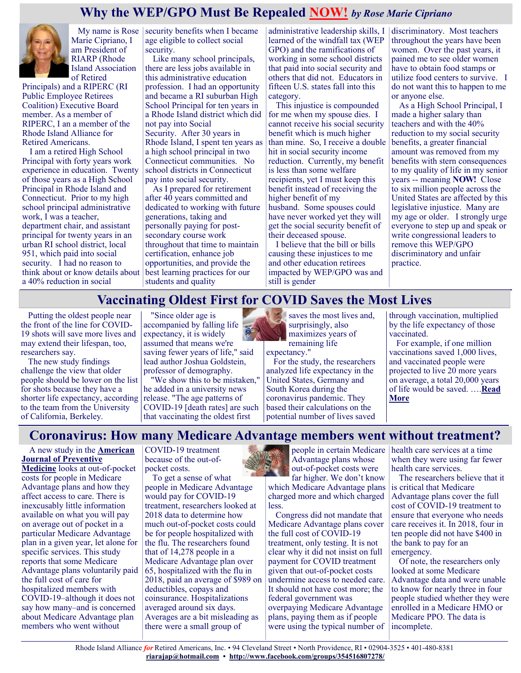# **Why the WEP/GPO Must Be Repealed NOW!** *by Rose Marie Cipriano*



Marie Cipriano, I am President of RIARP (Rhode Island Association of Retired

Principals) and a RIPERC (RI Public Employee Retirees Coalition) Executive Board member. As a member of RIPERC, I an a member of the Rhode Island Alliance for Retired Americans.

I am a retired High School Principal with forty years work experience in education. Twenty of those years as a High School Principal in Rhode Island and Connecticut. Prior to my high school principal administrative work, I was a teacher, department chair, and assistant principal for twenty years in an urban RI school district, local 951, which paid into social security. I had no reason to think about or know details about a 40% reduction in social

My name is Rose | security benefits when I became age eligible to collect social security.

> Like many school principals, there are less jobs available in this administrative education profession. I had an opportunity and became a RI suburban High School Principal for ten years in a Rhode Island district which did not pay into Social Security. After 30 years in Rhode Island, I spent ten years as a high school principal in two Connecticut communities. No school districts in Connecticut pay into social security.

As I prepared for retirement after 40 years committed and dedicated to working with future generations, taking and personally paying for postsecondary course work throughout that time to maintain certification, enhance job opportunities, and provide the best learning practices for our students and quality

administrative leadership skills, I learned of the windfall tax (WEP GPO) and the ramifications of working in some school districts that paid into social security and others that did not. Educators in fifteen U.S. states fall into this category.

This injustice is compounded for me when my spouse dies. I cannot receive his social security benefit which is much higher than mine. So, I receive a double hit in social security income reduction. Currently, my benefit is less than some welfare recipients, yet I must keep this benefit instead of receiving the higher benefit of my husband. Some spouses could have never worked yet they will get the social security benefit of their deceased spouse.

I believe that the bill or bills causing these injustices to me and other education retirees impacted by WEP/GPO was and still is gender

discriminatory. Most teachers throughout the years have been women. Over the past years, it pained me to see older women have to obtain food stamps or utilize food centers to survive. I do not want this to happen to me or anyone else.

As a High School Principal, I made a higher salary than teachers and with the 40% reduction to my social security benefits, a greater financial amount was removed from my benefits with stern consequences to my quality of life in my senior years -- meaning **NOW!** Close to six million people across the United States are affected by this legislative injustice. Many are my age or older. I strongly urge everyone to step up and speak or write congressional leaders to remove this WEP/GPO discriminatory and unfair practice.

# **Vaccinating Oldest First for COVID Saves the Most Lives**

Putting the oldest people near the front of the line for COVID-19 shots will save more lives and may extend their lifespan, too, researchers say.

The new study findings challenge the view that older people should be lower on the list for shots because they have a shorter life expectancy, according to the team from the University of California, Berkeley.

"Since older age is accompanied by falling life expectancy, it is widely assumed that means we're saving fewer years of life," said lead author Joshua Goldstein, professor of demography.

"We show this to be mistaken," he added in a university news release. "The age patterns of COVID-19 [death rates] are such that vaccinating the oldest first

saves the most lives and, surprisingly, also maximizes years of remaining life

expectancy."

For the study, the researchers analyzed life expectancy in the United States, Germany and South Korea during the coronavirus pandemic. They based their calculations on the potential number of lives saved

through vaccination, multiplied by the life expectancy of those vaccinated.

For example, if one million vaccinations saved 1,000 lives, and vaccinated people were projected to live 20 more years on average, a total 20,000 years of life would be saved. ….**[Read](https://www.usnews.com/news/health-news/articles/2021-03-01/vaccinating-oldest-first-for-covid-saves-the-most-lives-study)  [More](https://www.usnews.com/news/health-news/articles/2021-03-01/vaccinating-oldest-first-for-covid-saves-the-most-lives-study)**

### **Coronavirus: How many Medicare Advantage members went without treatment?**

A new study in the **[American](https://www.ajpmonline.org/article/S0749-3797(21)00010-6/fulltext)  [Journal of Preventive](https://www.ajpmonline.org/article/S0749-3797(21)00010-6/fulltext)** 

**[Medicine](https://www.ajpmonline.org/article/S0749-3797(21)00010-6/fulltext)** looks at out-of-pocket costs for people in Medicare Advantage plans and how they affect access to care. There is inexcusably little information available on what you will pay on average out of pocket in a particular Medicare Advantage plan in a given year, let alone for specific services. This study reports that some Medicare Advantage plans voluntarily paid the full cost of care for hospitalized members with COVID-19–although it does not say how many–and is concerned about Medicare Advantage plan members who went without

COVID-19 treatment because of the out-ofpocket costs.

To get a sense of what people in Medicare Advantage would pay for COVID-19 treatment, researchers looked at 2018 data to determine how much out-of-pocket costs could be for people hospitalized with the flu. The researchers found that of 14,278 people in a Medicare Advantage plan over 65, hospitalized with the flu in 2018, paid an average of \$989 on deductibles, copays and coinsurance. Hospitalizations averaged around six days. Averages are a bit misleading as there were a small group of

Advantage plans whose out-of-pocket costs were far higher. We don't know

which Medicare Advantage plans charged more and which charged less.

Congress did not mandate that Medicare Advantage plans cover the full cost of COVID-19 treatment, only testing. It is not clear why it did not insist on full payment for COVID treatment given that out-of-pocket costs undermine access to needed care. It should not have cost more; the federal government was overpaying Medicare Advantage plans, paying them as if people were using the typical number of

people in certain Medicare health care services at a time when they were using far fewer health care services.

The researchers believe that it is critical that Medicare Advantage plans cover the full cost of COVID-19 treatment to ensure that everyone who needs care receives it. In 2018, four in ten people did not have \$400 in the bank to pay for an emergency.

Of note, the researchers only looked at some Medicare Advantage data and were unable to know for nearly three in four people studied whether they were enrolled in a Medicare HMO or Medicare PPO. The data is incomplete.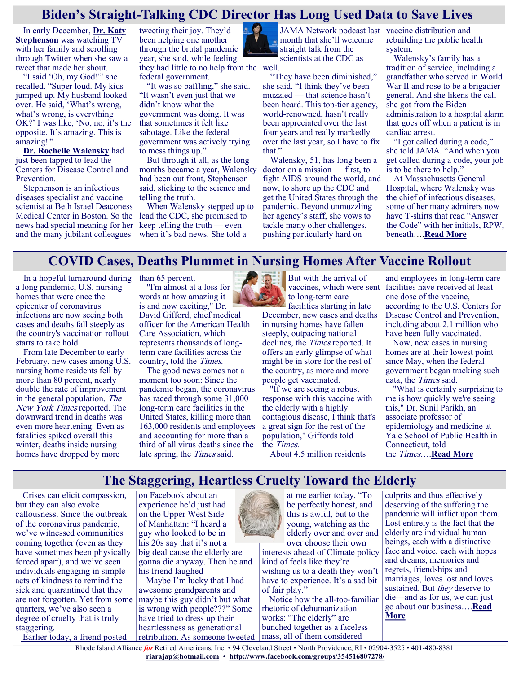### **Biden's Straight-Talking CDC Director Has Long Used Data to Save Lives**

In early December, **[Dr. Katy](https://cvvr.hms.harvard.edu/lab-member/kathryn-e-stephenson-m-d-m-p-h/)  [Stephenson](https://cvvr.hms.harvard.edu/lab-member/kathryn-e-stephenson-m-d-m-p-h/)** was watching TV with her family and scrolling through Twitter when she saw a tweet that made her shout.

"I said 'Oh, my God!'" she recalled. "Super loud. My kids jumped up. My husband looked over. He said, 'What's wrong, what's wrong, is everything OK?' I was like, 'No, no, it's the opposite. It's amazing. This is amazing!"

**[Dr. Rochelle Walensky](https://www.massgeneral.org/news/rochelle-walensky)** had just been tapped to lead the Centers for Disease Control and Prevention.

Stephenson is an infectious diseases specialist and vaccine scientist at Beth Israel Deaconess Medical Center in Boston. So the news had special meaning for her and the many jubilant colleagues

tweeting their joy. They'd been helping one another through the brutal pandemic year, she said, while feeling they had little to no help from the  $\vert$  well. federal government.

"It was so baffling," she said. "It wasn't even just that we didn't know what the government was doing. It was that sometimes it felt like sabotage. Like the federal government was actively trying to mess things up."

But through it all, as the long months became a year, Walensky had been out front, Stephenson said, sticking to the science and telling the truth.

When Walensky stepped up to lead the CDC, she promised to keep telling the truth — even when it's bad news. She told a



month that she'll welcome straight talk from the scientists at the CDC as

"They have been diminished," she said. "I think they've been muzzled — that science hasn't been heard. This top-tier agency, world-renowned, hasn't really been appreciated over the last four years and really markedly over the last year, so I have to fix that."

Walensky, 51, has long been a doctor on a mission — first, to fight AIDS around the world, and now, to shore up the CDC and get the United States through the pandemic. Beyond unmuzzling her agency's staff, she vows to tackle many other challenges, pushing particularly hard on

JAMA Network podcast last vaccine distribution and rebuilding the public health system.

> Walensky's family has a tradition of service, including a grandfather who served in World War II and rose to be a brigadier general. And she likens the call she got from the Biden administration to a hospital alarm that goes off when a patient is in cardiac arrest.

> "I got called during a code," she told JAMA. "And when you get called during a code, your job is to be there to help."

> At Massachusetts General Hospital, where Walensky was the chief of infectious diseases, some of her many admirers now have T-shirts that read "Answer the Code" with her initials, RPW, beneath….**[Read More](https://khn.org/news/article/biden-cdc-director-rochelle-walensky-straight-talking-data-driven/)**

# **COVID Cases, Deaths Plummet in Nursing Homes After Vaccine Rollout**

In a hopeful turnaround during a long pandemic, U.S. nursing homes that were once the epicenter of coronavirus infections are now seeing both cases and deaths fall steeply as the country's vaccination rollout starts to take hold.

From late December to early February, new cases among U.S. nursing home residents fell by more than 80 percent, nearly double the rate of improvement in the general population, The New York Times reported. The downward trend in deaths was even more heartening: Even as fatalities spiked overall this winter, deaths inside nursing homes have dropped by more

than 65 percent. "I'm almost at a loss for words at how amazing it is and how exciting," Dr. David Gifford, chief medical officer for the American Health Care Association, which represents thousands of longterm care facilities across the country, told the Times.

The good news comes not a moment too soon: Since the pandemic began, the coronavirus has raced through some 31,000 long-term care facilities in the United States, killing more than 163,000 residents and employees and accounting for more than a third of all virus deaths since the late spring, the Times said.



But with the arrival of vaccines, which were sent to long-term care facilities starting in late

December, new cases and deaths in nursing homes have fallen steeply, outpacing national declines, the Times reported. It offers an early glimpse of what might be in store for the rest of the country, as more and more people get vaccinated.

"If we are seeing a robust response with this vaccine with the elderly with a highly contagious disease, I think that's a great sign for the rest of the population," Giffords told the Times.

About 4.5 million residents

and employees in long-term care facilities have received at least one dose of the vaccine, according to the U.S. Centers for Disease Control and Prevention, including about 2.1 million who have been fully vaccinated.

Now, new cases in nursing homes are at their lowest point since May, when the federal government began tracking such data, the Times said.

"What is certainly surprising to me is how quickly we're seeing this," Dr. Sunil Parikh, an associate professor of epidemiology and medicine at Yale School of Public Health in Connecticut, told the Times….**[Read More](https://www.usnews.com/news/health-news/articles/2021-02-25/covid-cases-deaths-plummet-in-nursing-homes-after-vaccine-rollout)**

### **The Staggering, Heartless Cruelty Toward the Elderly**

Crises can elicit compassion, but they can also evoke callousness. Since the outbreak of the coronavirus pandemic, we've witnessed communities coming together (even as they have sometimes been physically forced apart), and we've seen individuals engaging in simple acts of kindness to remind the sick and quarantined that they are not forgotten. Yet from some quarters, we've also seen a degree of cruelty that is truly staggering. Earlier today, a friend posted

on Facebook about an experience he'd just had on the Upper West Side of Manhattan: "I heard a guy who looked to be in his 20s say that it's not a big deal cause the elderly are gonna die anyway. Then he and his friend laughed

Maybe I'm lucky that I had awesome grandparents and maybe this guy didn't but what is wrong with people???" Some have tried to dress up their heartlessness as generational retribution. As someone tweeted



at me earlier today, "To be perfectly honest, and this is awful, but to the young, watching as the elderly over and over and over choose their own

interests ahead of Climate policy kind of feels like they're wishing us to a death they won't have to experience. It's a sad bit of fair play."

Notice how the all-too-familiar rhetoric of dehumanization works: "The elderly" are bunched together as a faceless mass, all of them considered

culprits and thus effectively deserving of the suffering the pandemic will inflict upon them. Lost entirely is the fact that the elderly are individual human beings, each with a distinctive face and voice, each with hopes and dreams, memories and regrets, friendships and marriages, loves lost and loves sustained. But *they* deserve to die—and as for us, we can just go about our business….**[Read](https://www.theatlantic.com/ideas/archive/2020/03/respect-old/607864/?utm_campaign=the-atlantic&utm_medium=social&utm_source=facebook&fbclid=IwAR0TzQuA2PAv7SXevu0UqdZQ-VZMwKwju8v3AajWcVCgWdXsXSv9NyDSKcY)  [More](https://www.theatlantic.com/ideas/archive/2020/03/respect-old/607864/?utm_campaign=the-atlantic&utm_medium=social&utm_source=facebook&fbclid=IwAR0TzQuA2PAv7SXevu0UqdZQ-VZMwKwju8v3AajWcVCgWdXsXSv9NyDSKcY)**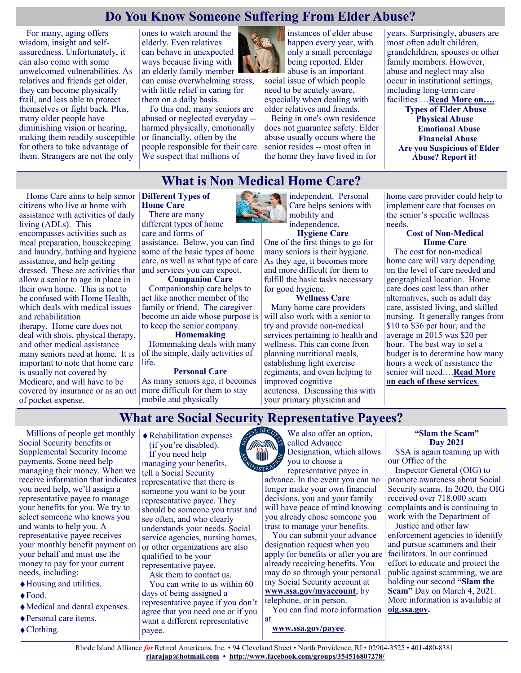### **Do You Know Someone Suffering From Elder Abuse?**

For many, aging offers wisdom, insight and selfassuredness. Unfortunately, it can also come with some unwelcomed vulnerabilities. As relatives and friends get older, they can become physically frail, and less able to protect themselves or fight back. Plus, many older people have diminishing vision or hearing, making them readily susceptible for others to take advantage of them. Strangers are not the only

Home Care aims to help senior citizens who live at home with assistance with activities of daily

encompasses activities such as meal preparation, housekeeping and laundry, bathing and hygiene assistance, and help getting dressed. These are activities that allow a senior to age in place in their own home. This is not to be confused with Home Health, which deals with medical issues

therapy. Home care does not deal with shots, physical therapy, and other medical assistance many seniors need at home. It is important to note that home care is usually not covered by Medicare, and will have to be

living (ADLs). This

and rehabilitation

of pocket expense.

ones to watch around the elderly. Even relatives can behave in unexpected ways because living with an elderly family member can cause overwhelming stress, with little relief in caring for them on a daily basis.

 To this end, many seniors are abused or neglected everyday - harmed physically, emotionally or financially, often by the people responsible for their care. We suspect that millions of



social issue of which people need to be acutely aware, especially when dealing with older relatives and friends.

 Being in one's own residence does not guarantee safety. Elder abuse usually occurs where the senior resides -- most often in the home they have lived in for

years. Surprisingly, abusers are most often adult children, grandchildren, spouses or other family members. However, abuse and neglect may also occur in institutional settings, including long-term care facilities….**[Read More on….](https://seniordirectory.com/community-activities/elder-abuse)**

**Types of Elder Abuse Physical Abuse Emotional Abuse Financial Abuse Are you Suspicious of Elder Abuse? Report it!**

# **What is Non Medical Home Care?**

#### **Different Types of Home Care**

There are many different types of home care and forms of

assistance. Below, you can find some of the basic types of home care, as well as what type of care and services you can expect.

**Companion Care** Companionship care helps to act like another member of the family or friend. The caregiver become an aide whose purpose is to keep the senior company.

**Homemaking** Homemaking deals with many of the simple, daily activities of life.

covered by insurance or as an out more difficult for them to stay **Personal Care** As many seniors age, it becomes mobile and physically

independent. Personal Care helps seniors with mobility and independence.

**Hygiene Care**

One of the first things to go for many seniors is their hygiene. As they age, it becomes more and more difficult for them to fulfill the basic tasks necessary for good hygiene.

#### **Wellness Care**

Many home care providers will also work with a senior to try and provide non-medical services pertaining to health and wellness. This can come from planning nutritional meals, establishing light exercise regiments, and even helping to improved cognitive acuteness. Discussing this with your primary physician and

home care provider could help to implement care that focuses on the senior's specific wellness needs.

#### **Cost of Non-Medical Home Care**

The cost for non-medical home care will vary depending on the level of care needed and geographical location. Home care does cost less than other alternatives, such as adult day care, assisted living, and skilled nursing. It generally ranges from \$10 to \$36 per hour, and the average in 2015 was \$20 per hour. The best way to set a budget is to determine how many hours a week of assistance the senior will need….**[Read More](https://seniordirectory.com/in-home-services/home-health-care-non-medical)  [on each of these services](https://seniordirectory.com/in-home-services/home-health-care-non-medical)**.

### **What are Social Security Representative Payees?**

Millions of people get monthly Social Security benefits or Supplemental Security Income payments. Some need help managing their money. When we receive information that indicates you need help, we'll assign a representative payee to manage your benefits for you. We try to select someone who knows you and wants to help you. A representative payee receives your monthly benefit payment on your behalf and must use the money to pay for your current needs, including:

- Housing and utilities.
- Food.
- Medical and dental expenses.
- Personal care items.
- ◆ Clothing.

Rehabilitation expenses (if you're disabled). If you need help

managing your benefits, tell a Social Security representative that there is someone you want to be your representative payee. They should be someone you trust and see often, and who clearly understands your needs. Social service agencies, nursing homes, or other organizations are also qualified to be your representative payee.

Ask them to contact us. You can write to us within 60 days of being assigned a representative payee if you don't agree that you need one or if you want a different representative payee.

We also offer an option, called Advance Designation, which allows you to choose a

representative payee in advance. In the event you can no longer make your own financial decisions, you and your family will have peace of mind knowing you already chose someone you trust to manage your benefits.

You can submit your advance designation request when you apply for benefits or after you are already receiving benefits. You may do so through your personal my Social Security account at **<www.ssa.gov/myaccount>**, by telephone, or in person.

You can find more information at

**<www.ssa.gov/payee>**.

#### **"Slam the Scam" Day 2021**

SSA is again teaming up with our Office of the

Inspector General (OIG) to promote awareness about Social Security scams. In 2020, the OIG received over 718,000 scam complaints and is continuing to work with the Department of

Justice and other law enforcement agencies to identify and pursue scammers and their facilitators. In our continued effort to educate and protect the public against scamming, we are holding our second **"Slam the Scam"** Day on March 4, 2021. More information is available at **[oig.ssa.gov.](oig.ssa.gov)**

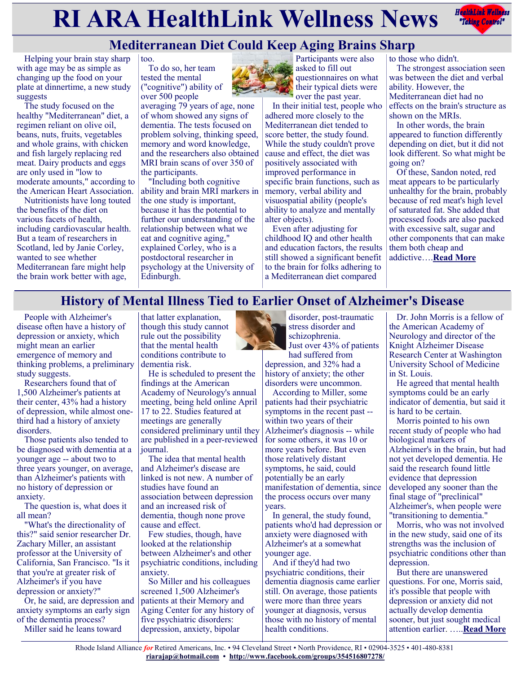# **RIARA HealthLink Wellness News** *Reduction Reduction***ly and** *Reduction***ly and** *Reduction***ly <b>Reduction**



# **Mediterranean Diet Could Keep Aging Brains Sharp**

Helping your brain stay sharp with age may be as simple as changing up the food on your plate at dinnertime, a new study suggests

The study focused on the healthy "Mediterranean" diet, a regimen reliant on olive oil, beans, nuts, fruits, vegetables and whole grains, with chicken and fish largely replacing red meat. Dairy products and eggs are only used in "low to moderate amounts," according to the American Heart Association.

Nutritionists have long touted the benefits of the diet on various facets of health, including cardiovascular health. But a team of researchers in Scotland, led by Janie Corley, wanted to see whether Mediterranean fare might help the brain work better with age,

too. To do so, her team tested the mental ("cognitive") ability of over 500 people

averaging 79 years of age, none of whom showed any signs of dementia. The tests focused on problem solving, thinking speed, memory and word knowledge, and the researchers also obtained MRI brain scans of over 350 of the participants.

"Including both cognitive ability and brain MRI markers in the one study is important, because it has the potential to further our understanding of the relationship between what we eat and cognitive aging," explained Corley, who is a postdoctoral researcher in psychology at the University of Edinburgh.



Participants were also asked to fill out questionnaires on what their typical diets were over the past year.

In their initial test, people who adhered more closely to the Mediterranean diet tended to score better, the study found. While the study couldn't prove cause and effect, the diet was positively associated with improved performance in specific brain functions, such as memory, verbal ability and visuospatial ability (people's ability to analyze and mentally alter objects).

Even after adjusting for childhood IQ and other health and education factors, the results still showed a significant benefit to the brain for folks adhering to a Mediterranean diet compared

to those who didn't.

The strongest association seen was between the diet and verbal ability. However, the Mediterranean diet had no effects on the brain's structure as shown on the MRIs.

In other words, the brain appeared to function differently depending on diet, but it did not look different. So what might be going on?

Of these, Sandon noted, red meat appears to be particularly unhealthy for the brain, probably because of red meat's high level of saturated fat. She added that processed foods are also packed with excessive salt, sugar and other components that can make them both cheap and addictive….**[Read More](https://www.usnews.com/news/health-news/articles/2021-02-25/mediterranean-diet-could-keep-aging-brains-sharp)**

# **History of Mental Illness Tied to Earlier Onset of Alzheimer's Disease**

People with Alzheimer's disease often have a history of depression or anxiety, which might mean an earlier emergence of memory and thinking problems, a preliminary study suggests.

Researchers found that of 1,500 Alzheimer's patients at their center, 43% had a history of depression, while almost onethird had a history of anxiety disorders.

Those patients also tended to be diagnosed with dementia at a younger age -- about two to three years younger, on average, than Alzheimer's patients with no history of depression or anxiety.

The question is, what does it all mean?

"What's the directionality of this?" said senior researcher Dr. Zachary Miller, an assistant professor at the University of California, San Francisco. "Is it that you're at greater risk of Alzheimer's if you have depression or anxiety?"

Or, he said, are depression and anxiety symptoms an early sign of the dementia process?

Miller said he leans toward

that latter explanation, though this study cannot rule out the possibility that the mental health conditions contribute to dementia risk.

He is scheduled to present the findings at the American Academy of Neurology's annual meeting, being held online April 17 to 22. Studies featured at meetings are generally considered preliminary until they are published in a peer-reviewed journal.

The idea that mental health and Alzheimer's disease are linked is not new. A number of studies have found an association between depression and an increased risk of dementia, though none prove cause and effect.

Few studies, though, have looked at the relationship between Alzheimer's and other psychiatric conditions, including anxiety.

So Miller and his colleagues screened 1,500 Alzheimer's patients at their Memory and Aging Center for any history of five psychiatric disorders: depression, anxiety, bipolar



Just over 43% of patients had suffered from depression, and 32% had a

history of anxiety; the other disorders were uncommon.

According to Miller, some patients had their psychiatric symptoms in the recent past - within two years of their Alzheimer's diagnosis -- while for some others, it was 10 or more years before. But even those relatively distant symptoms, he said, could potentially be an early manifestation of dementia, since the process occurs over many years.

In general, the study found, patients who'd had depression or anxiety were diagnosed with Alzheimer's at a somewhat younger age.

And if they'd had two psychiatric conditions, their dementia diagnosis came earlier still. On average, those patients were more than three years younger at diagnosis, versus those with no history of mental health conditions.

Dr. John Morris is a fellow of the American Academy of Neurology and director of the Knight Alzheimer Disease Research Center at Washington University School of Medicine in St. Louis.

He agreed that mental health symptoms could be an early indicator of dementia, but said it is hard to be certain.

Morris pointed to his own recent study of people who had biological markers of Alzheimer's in the brain, but had not yet developed dementia. He said the research found little evidence that depression developed any sooner than the final stage of "preclinical" Alzheimer's, when people were "transitioning to dementia."

Morris, who was not involved in the new study, said one of its strengths was the inclusion of psychiatric conditions other than depression.

But there are unanswered questions. For one, Morris said, it's possible that people with depression or anxiety did not actually develop dementia sooner, but just sought medical attention earlier. …..**[Read More](https://www.usnews.com/news/health-news/articles/2021-02-25/history-of-mental-illness-tied-to-earlier-onset-of-alzheimers-disease)**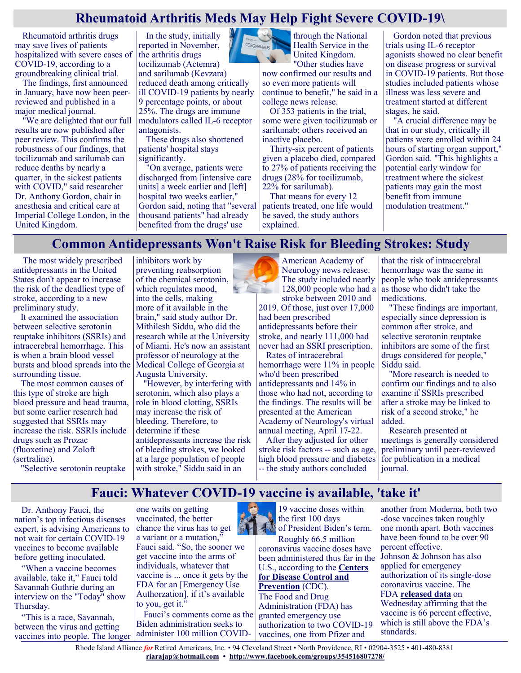### **Rheumatoid Arthritis Meds May Help Fight Severe COVID-19\**

Rheumatoid arthritis drugs may save lives of patients hospitalized with severe cases of COVID-19, according to a groundbreaking clinical trial.

The findings, first announced in January, have now been peerreviewed and published in a major medical journal.

"We are delighted that our full results are now published after peer review. This confirms the robustness of our findings, that tocilizumab and sarilumab can reduce deaths by nearly a quarter, in the sickest patients with COVID," said researcher Dr. Anthony Gordon, chair in anesthesia and critical care at Imperial College London, in the United Kingdom.

In the study, initially reported in November, the arthritis drugs tocilizumab (Actemra) and sarilumab (Kevzara) reduced death among critically ill COVID-19 patients by nearly 9 percentage points, or about 25%. The drugs are immune modulators called IL-6 receptor antagonists.

These drugs also shortened patients' hospital stays significantly.

"On average, patients were discharged from [intensive care units] a week earlier and [left] hospital two weeks earlier," Gordon said, noting that "several thousand patients" had already benefited from the drugs' use



United Kingdom. "Other studies have now confirmed our results and so even more patients will continue to benefit," he said in a college news release.

Of 353 patients in the trial, some were given tocilizumab or sarilumab; others received an inactive placebo.

Thirty-six percent of patients given a placebo died, compared to 27% of patients receiving the drugs (28% for tocilizumab, 22% for sarilumab).

That means for every 12 patients treated, one life would be saved, the study authors explained.

Gordon noted that previous trials using IL-6 receptor agonists showed no clear benefit on disease progress or survival in COVID-19 patients. But those studies included patients whose illness was less severe and treatment started at different stages, he said.

"A crucial difference may be that in our study, critically ill patients were enrolled within 24 hours of starting organ support," Gordon said. "This highlights a potential early window for treatment where the sickest patients may gain the most benefit from immune modulation treatment."

### **Common Antidepressants Won't Raise Risk for Bleeding Strokes: Study**

The most widely prescribed antidepressants in the United States don't appear to increase the risk of the deadliest type of stroke, according to a new preliminary study.

It examined the association between selective serotonin reuptake inhibitors (SSRIs) and intracerebral hemorrhage. This is when a brain blood vessel bursts and blood spreads into the surrounding tissue.

The most common causes of this type of stroke are high blood pressure and head trauma, but some earlier research had suggested that SSRIs may increase the risk. SSRIs include drugs such as Prozac (fluoxetine) and Zoloft (sertraline).

"Selective serotonin reuptake

inhibitors work by preventing reabsorption of the chemical serotonin, which regulates mood, into the cells, making more of it available in the brain," said study author Dr. Mithilesh Siddu, who did the research while at the University of Miami. He's now an assistant professor of neurology at the Medical College of Georgia at Augusta University.

"However, by interfering with serotonin, which also plays a role in blood clotting, SSRIs may increase the risk of bleeding. Therefore, to determine if these antidepressants increase the risk of bleeding strokes, we looked at a large population of people with stroke," Siddu said in an

American Academy of Neurology news release. The study included nearly 128,000 people who had a stroke between 2010 and 2019. Of those, just over 17,000 had been prescribed antidepressants before their stroke, and nearly 111,000 had never had an SSRI prescription.

Rates of intracerebral hemorrhage were 11% in people who'd been prescribed antidepressants and 14% in those who had not, according to the findings. The results will be presented at the American Academy of Neurology's virtual annual meeting, April 17-22.

After they adjusted for other stroke risk factors -- such as age, high blood pressure and diabetes -- the study authors concluded

that the risk of intracerebral hemorrhage was the same in people who took antidepressants as those who didn't take the medications.

"These findings are important, especially since depression is common after stroke, and selective serotonin reuptake inhibitors are some of the first drugs considered for people," Siddu said.

"More research is needed to confirm our findings and to also examine if SSRIs prescribed after a stroke may be linked to risk of a second stroke," he added.

Research presented at meetings is generally considered preliminary until peer-reviewed for publication in a medical journal.

### **Fauci: Whatever COVID-19 vaccine is available, 'take it'**

Dr. Anthony Fauci, the nation's top infectious diseases expert, is advising Americans to not wait for certain COVID-19 vaccines to become available before getting inoculated.

"When a vaccine becomes available, take it," Fauci told Savannah Guthrie during an interview on the "Today" show Thursday.

"This is a race, Savannah, between the virus and getting vaccines into people. The longer

one waits on getting vaccinated, the better chance the virus has to get a variant or a mutation," Fauci said. "So, the sooner we get vaccine into the arms of individuals, whatever that vaccine is ... once it gets by the FDA for an [Emergency Use Authorzation], if it's available to you, get it."

Fauci's comments come as the Biden administration seeks to administer 100 million COVID-



Roughly 66.5 million coronavirus vaccine doses have been administered thus far in the U.S., according to the **[Centers](https://covid.cdc.gov/covid-data-tracker/#vaccinations)  [for Disease Control and](https://covid.cdc.gov/covid-data-tracker/#vaccinations)  [Prevention](https://covid.cdc.gov/covid-data-tracker/#vaccinations)** (CDC). The Food and Drug Administration (FDA) has granted emergency use authorization to two COVID-19 vaccines, one from Pfizer and

another from Moderna, both two -dose vaccines taken roughly one month apart. Both vaccines have been found to be over 90 percent effective. Johnson & Johnson has also applied for emergency authorization of its single-dose coronavirus vaccine. The FDA **[released data](https://thehill.com/policy/healthcare/540240-johnson-johnsons-single-dose-covid-19-vaccine-effective-safe-fda)** on Wednesday affirming that the vaccine is 66 percent effective, which is still above the FDA's standards.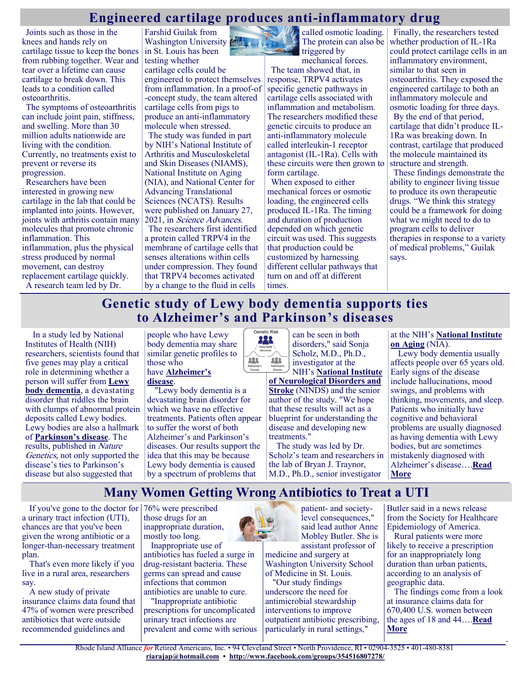### **Engineered cartilage produces anti-inflammatory drug**

Joints such as those in the knees and hands rely on cartilage tissue to keep the bones from rubbing together. Wear and tear over a lifetime can cause cartilage to break down. This leads to a condition called osteoarthritis.

The symptoms of osteoarthritis can include joint pain, stiffness, and swelling. More than 30 million adults nationwide are living with the condition. Currently, no treatments exist to prevent or reverse its progression.

Researchers have been interested in growing new cartilage in the lab that could be implanted into joints. However, joints with arthritis contain many molecules that promote chronic inflammation. This inflammation, plus the physical stress produced by normal movement, can destroy replacement cartilage quickly. A research team led by Dr.

Farshid Guilak from Washington University in St. Louis has been testing whether cartilage cells could be engineered to protect themselves from inflammation. In a proof-of -concept study, the team altered cartilage cells from pigs to produce an anti-inflammatory molecule when stressed. The study was funded in part by NIH's National Institute of Arthritis and Musculoskeletal and Skin Diseases (NIAMS), National Institute on Aging (NIA), and National Center for Advancing Translational Sciences (NCATS). Results were published on January 27,

2021, in Science Advances. The researchers first identified a protein called TRPV4 in the membrane of cartilage cells that senses alterations within cells under compression. They found that TRPV4 becomes activated by a change to the fluid in cells



**C** called osmotic loading. The protein can also be triggered by

mechanical forces. The team showed that, in response, TRPV4 activates specific genetic pathways in cartilage cells associated with inflammation and metabolism. The researchers modified these genetic circuits to produce an anti-inflammatory molecule called interleukin-1 receptor antagonist (IL-1Ra). Cells with these circuits were then grown to form cartilage.

When exposed to either mechanical forces or osmotic loading, the engineered cells produced IL-1Ra. The timing and duration of production depended on which genetic circuit was used. This suggests that production could be customized by harnessing different cellular pathways that turn on and off at different times.

Finally, the researchers tested whether production of IL-1Ra could protect cartilage cells in an inflammatory environment, similar to that seen in osteoarthritis. They exposed the engineered cartilage to both an inflammatory molecule and osmotic loading for three days. By the end of that period, cartilage that didn't produce IL-1Ra was breaking down. In contrast, cartilage that produced the molecule maintained its structure and strength.

These findings demonstrate the ability to engineer living tissue to produce its own therapeutic drugs. "We think this strategy could be a framework for doing what we might need to do to program cells to deliver therapies in response to a variety of medical problems," Guilak says.

# **Genetic study of Lewy body dementia supports ties to Alzheimer's and Parkinson's diseases**

In a study led by National Institutes of Health (NIH) researchers, scientists found that five genes may play a critical role in determining whether a person will suffer from **[Lewy](https://www.medlineplus.gov/lewybodydementia.html)  [body dementia](https://www.medlineplus.gov/lewybodydementia.html)**, a devastating disorder that riddles the brain with clumps of abnormal protein deposits called Lewy bodies. Lewy bodies are also a hallmark of **[Parkinson's disease](https://www.medlineplus.gov/parkinsonsdisease.html)**. The results, published in Nature Genetics, not only supported the disease's ties to Parkinson's disease but also suggested that

people who have Lewy body dementia may share similar genetic profiles to those who have **[Alzheimer's](https://www.medlineplus.gov/alzheimersdisease.html)** 

#### **[disease](https://www.medlineplus.gov/alzheimersdisease.html)**.

"Lewy body dementia is a devastating brain disorder for which we have no effective treatments. Patients often appear to suffer the worst of both Alzheimer's and Parkinson's diseases. Our results support the idea that this may be because Lewy body dementia is caused by a spectrum of problems that



can be seen in both disorders," said Sonja Scholz, M.D., Ph.D., investigator at the NIH's **[National Institute](https://www.ninds.nih.gov/)** 

**[of Neurological Disorders and](https://www.ninds.nih.gov/)  [Stroke](https://www.ninds.nih.gov/)** (NINDS) and the senior author of the study. "We hope that these results will act as a blueprint for understanding the disease and developing new treatments."

The study was led by Dr. Scholz's team and researchers in the lab of Bryan J. Traynor, M.D., Ph.D., senior investigator

at the NIH's **[National Institute](https://www.nia.nih.gov/)  [on Aging](https://www.nia.nih.gov/)** (NIA).

Lewy body dementia usually affects people over 65 years old. Early signs of the disease include hallucinations, mood swings, and problems with thinking, movements, and sleep. Patients who initially have cognitive and behavioral problems are usually diagnosed as having dementia with Lewy bodies, but are sometimes mistakenly diagnosed with Alzheimer's disease….**[Read](https://www.nia.nih.gov/news/genetic-study-lewy-body-dementia-supports-ties-alzheimers-and-parkinsons-diseases)  [More](https://www.nia.nih.gov/news/genetic-study-lewy-body-dementia-supports-ties-alzheimers-and-parkinsons-diseases)**

# **Many Women Getting Wrong Antibiotics to Treat a UTI**

If you've gone to the doctor for a urinary tract infection (UTI), chances are that you've been given the wrong antibiotic or a longer-than-necessary treatment plan.

That's even more likely if you live in a rural area, researchers say.

A new study of private insurance claims data found that 47% of women were prescribed antibiotics that were outside recommended guidelines and

76% were prescribed those drugs for an inappropriate duration, mostly too long.

Inappropriate use of antibiotics has fueled a surge in drug-resistant bacteria. These germs can spread and cause infections that common antibiotics are unable to cure.

"Inappropriate antibiotic prescriptions for uncomplicated urinary tract infections are prevalent and come with serious



patient- and societylevel consequences," said lead author Anne Mobley Butler. She is assistant professor of

medicine and surgery at Washington University School of Medicine in St. Louis.

"Our study findings underscore the need for antimicrobial stewardship interventions to improve outpatient antibiotic prescribing, particularly in rural settings,"

Butler said in a news release from the Society for Healthcare Epidemiology of America.

Rural patients were more likely to receive a prescription for an inappropriately long duration than urban patients, according to an analysis of geographic data.

The findings come from a look at insurance claims data for 670,400 U.S. women between the ages of 18 and 44….**[Read](https://consumer.healthday.com/b-3-1-many-women-getting-wrong-antibiotics-to-treat-a-uti-study-2650738984.html)  [More](https://consumer.healthday.com/b-3-1-many-women-getting-wrong-antibiotics-to-treat-a-uti-study-2650738984.html)**